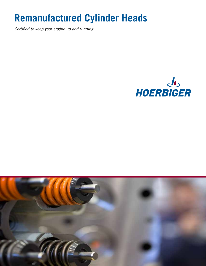# **Remanufactured Cylinder Heads**

*Certified to keep your engine up and running*



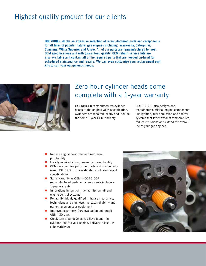#### Highest quality product for our clients

**HOERBIGER stocks an extensive selection of remanufactured parts and components for all lines of popular natural gas engines including Waukesha, Caterpillar, Cummins, White Superior and Arrow. All of our parts are remanufactured to meet OEM specifications and with guaranteed quality. OEM rebuilt service kits are also available and contain all of the required parts that are needed on-hand for scheduled maintenance and repairs. We can even customize your replacement part kits to suit your equipment's needs.**



#### Zero-hour cylinder heads come complete with a 1-year warranty

HOERBIGER remanufactures cylinder heads to the original OEM specification. Cylinders are repaired locally and include the same 1-year OEM warranty.

HOERBIGER also designs and manufactures critical engine components like ignition, fuel admission and control systems that lower exhaust temperatures, reduce emissions and extend the overall life of your gas engines.

- $\blacksquare$  Reduce engine downtime and maximize profitability
- Locally repaired at our remanufacturing facility
- OEM-only genuine parts: our parts and components meet HOERBIGER's own standards following exact specifications
- Same warranty as OEM: HOERBIGER remanufactured parts and components include a 1-year warranty
- Innovations in ignition, fuel admission, air and engine control systems
- $\blacksquare$  Reliability: highly-qualified in-house mechanics, technicians and engineers increase reliability and performance on your equipment
- **Improved cash flow: Core evaluation and credit** within 30 days
- Quick turn around: Once you have found the cylinder that fits your engine, delivery is fast - we ship worldwide

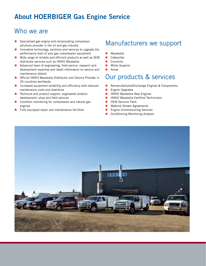## About HOERBIGER Gas Engine Service

#### Who we are

- $\blacksquare$  Specialized gas engine and reciprocating compressor solutions provider in the oil and gas industry
- **Innovative technology, solutions and services to upgrade the** performance level of your gas compression equipment
- Wide range of reliable and efficient products as well as OEM distributor services such as INNIO Waukesha
- **Advanced team of engineering, field service, research and** development expertise and latest information on service and maintenance details
- Official INNIO Waukesha Distributor and Service Provider in 26 countries worldwide
- $\blacksquare$  Increased equipment reliability and efficiency with reduced maintenance costs and downtime
- $\blacksquare$  Technical and product support, engineered product development, shop and field services
- Condition monitoring for compressors and natural gas engines
- $\blacksquare$  Fully equipped repair and maintenance facilities

#### Manufacturers we support

- **Naukesha**
- **Caterpillar**
- **Cummins**
- **NH** White Superior
- **Arrow**

#### Our products & services

- Remanufactured/Exchange Engines & Components
- **Engine Upgrades**
- **INNIO Waukesha New Engines**
- **INNIO Waukesha Certified Technicians**
- **DEM Genuine Parts**
- **Material Stream Agreements**
- **Engine Commissioning Services**
- **Conditioning Monitoring Analysis**